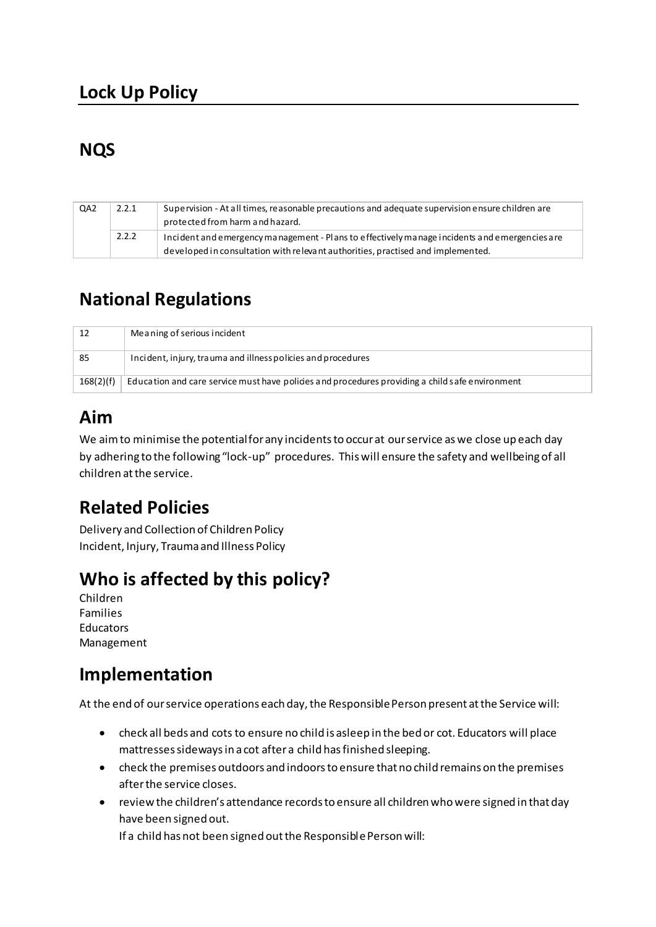## **Lock Up Policy**

## **NQS**

| QA <sub>2</sub> | 2.2.1 | Supervision - At all times, reasonable precautions and adequate supervision ensure children are<br>protected from harm and hazard.                                               |
|-----------------|-------|----------------------------------------------------------------------------------------------------------------------------------------------------------------------------------|
|                 | 2.2.2 | Incident and emergency management - Plans to effectively manage incidents and emergencies are<br>developed in consultation with relevant authorities, practised and implemented. |

## **National Regulations**

| 12        | Meaning of serious incident                                                                     |
|-----------|-------------------------------------------------------------------------------------------------|
| -85       | Incident, injury, trauma and illness policies and procedures                                    |
| 168(2)(f) | Education and care service must have policies and procedures providing a child safe environment |

## **Aim**

We aim to minimise the potential for any incidents to occur at our service as we close up each day by adhering to the following "lock-up" procedures. This will ensure the safety and wellbeing of all children at the service.

# **Related Policies**

Delivery and Collection of Children Policy Incident, Injury, Trauma and Illness Policy

# **Who is affected by this policy?**

Children Families **Educators** Management

### **Implementation**

At the end of our service operations each day, the Responsible Person present at the Service will:

- check all beds and cots to ensure no child is asleep in the bed or cot. Educators will place mattresses sideways in a cot after a child has finished sleeping.
- check the premises outdoors and indoors to ensure that no child remains on the premises after the service closes.
- review the children's attendance records to ensure all children who were signed in that day have been signed out.

If a child has not been signed out the Responsible Person will: